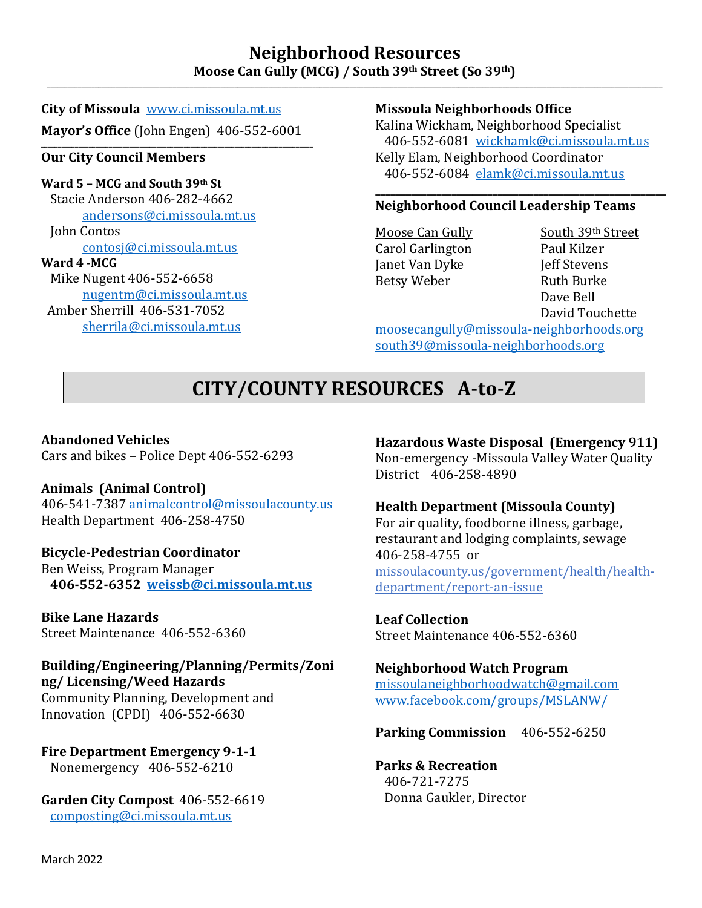## **Neighborhood Resources**  Moose Can Gully (MCG) / South 39th Street (So 39th)

**City of Missoula** [www.ci.missoula.mt.us](http://www.ci.missoula.mt.us/) **Mayor's Office** (John Engen) 406-552-6001

#### \_\_\_\_\_\_\_\_\_\_\_\_\_\_\_\_\_\_\_\_\_\_\_\_\_\_\_\_\_\_\_\_\_\_\_\_\_\_\_\_\_\_\_\_\_\_\_\_\_\_\_\_\_\_\_\_\_\_\_\_\_\_\_\_\_\_\_\_\_\_\_\_\_\_\_\_\_\_\_\_ **Our City Council Members**

**Ward 5 – MCG and South 39th St** Stacie Anderson 406-282-4662 [andersons@ci.missoula.mt.us](mailto:andersons@ci.missoula.mt.us) John Contos [contosj@ci.missoula.mt.us](mailto:contosj@ci.missoula.mt.us) **Ward 4 -MCG** Mike Nugent 406-552-6658 [nugentm@ci.missoula.mt.us](mailto:nugentm@ci.missoula.mt.us)

 Amber Sherrill 406-531-7052 [sherrila@ci.missoula.mt.us](mailto:sherrila@ci.missoula.mt.us)

## **Missoula Neighborhoods Office**

Kalina Wickham, Neighborhood Specialist 406-552-6081 [wickhamk@ci.missoula.mt.us](mailto:wickhamk@ci.missoula.mt.us) Kelly Elam, Neighborhood Coordinator 406-552-6084 [elamk@ci.missoula.mt.us](mailto:elamk@ci.missoula.mt.us)

#### **\_\_\_\_\_\_\_\_\_\_\_\_\_\_\_\_\_\_\_\_\_\_\_\_\_\_\_\_\_\_\_\_\_\_\_\_\_\_\_\_\_\_\_\_\_\_\_\_\_\_\_\_\_\_\_\_\_ Neighborhood Council Leadership Teams**

Carol Garlington Paul Kilzer<br>Ianet Van Dyke Veff Stevens Janet Van Dyke Jeff Stevens Betsy Weber

<u>Moose Can Gully South 39th Street</u><br>Carol Garlington Paul Kilzer Dave Bell David Touchette

[moosecangully@missoula-neighborhoods.org](mailto:moosecangully@missoula-neighborhoods.org) [south39@missoula-neighborhoods.org](mailto:south39@missoula-neighborhoods.org)

## **CITY/COUNTY RESOURCES A-to-Z**

## **Abandoned Vehicles**

Cars and bikes – Police Dept 406-552-6293

## **Animals (Animal Control)**

406-541-7387 [animalcontrol@missoulacounty.us](mailto:animalcontrol@missoulacounty.us) Health Department 406-258-4750

## **Bicycle-Pedestrian Coordinator**

Ben Weiss, Program Manager  **406-552-6352 [weissb@ci.missoula.mt.us](mailto:weissb@ci.missoula.mt.us)**

## **Bike Lane Hazards**

Street Maintenance 406-552-6360

#### **Building/Engineering/Planning/Permits/Zoni ng/ Licensing/Weed Hazards**

Community Planning, Development and Innovation (CPDI) 406-552-6630

**Fire Department Emergency 9-1-1** Nonemergency 406-552-6210

**Garden City Compost** 406-552-6619 [composting@ci.missoula.mt.us](mailto:composting@ci.missoula.mt.us)

## **Hazardous Waste Disposal (Emergency 911)**

Non-emergency -Missoula Valley Water Quality District 406-258-4890

## **Health Department (Missoula County)**

For air quality, foodborne illness, garbage, restaurant and lodging complaints, sewage 406-258-4755 or missoulacounty.us/government/health/healthdepartment/report-an-issue

## **Leaf Collection**

Street Maintenance 406-552-6360

## **Neighborhood Watch Program**

[missoulaneighborhoodwatch@gmail.com](mailto:missoulaneighborhoodwatch@gmail.com) [www.facebook.com/groups/MSLANW/](http://www.facebook.com/groups/MSLANW/)

## **Parking Commission** 406-552-6250

**Parks & Recreation** 406-721-7275 Donna Gaukler, Director